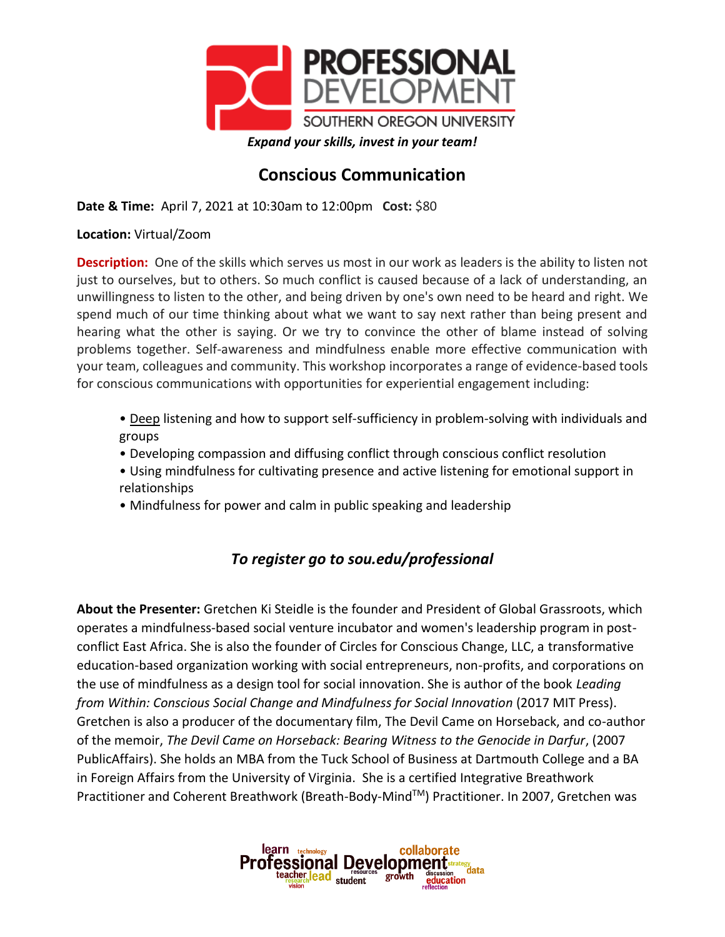

## **Conscious Communication**

**Date & Time:** April 7, 2021 at 10:30am to 12:00pm **Cost:** \$80

**Location:** Virtual/Zoom

**Description:** One of the skills which serves us most in our work as leaders is the ability to listen not just to ourselves, but to others. So much conflict is caused because of a lack of understanding, an unwillingness to listen to the other, and being driven by one's own need to be heard and right. We spend much of our time thinking about what we want to say next rather than being present and hearing what the other is saying. Or we try to convince the other of blame instead of solving problems together. Self-awareness and mindfulness enable more effective communication with your team, colleagues and community. This workshop incorporates a range of evidence-based tools for conscious communications with opportunities for experiential engagement including:

- Deep listening and how to support self-sufficiency in problem-solving with individuals and groups
- Developing compassion and diffusing conflict through conscious conflict resolution
- Using mindfulness for cultivating presence and active listening for emotional support in relationships
- Mindfulness for power and calm in public speaking and leadership

## *To register go to sou.edu/professional*

**About the Presenter:** Gretchen Ki Steidle is the founder and President of Global Grassroots, which operates a mindfulness-based social venture incubator and women's leadership program in postconflict East Africa. She is also the founder of Circles for Conscious Change, LLC, a transformative education-based organization working with social entrepreneurs, non-profits, and corporations on the use of mindfulness as a design tool for social innovation. She is author of the book *Leading from Within: Conscious Social Change and Mindfulness for Social Innovation* (2017 MIT Press). Gretchen is also a producer of the documentary film, The Devil Came on Horseback, and co-author of the memoir, *The Devil Came on Horseback: Bearing Witness to the Genocide in Darfur*, (2007 PublicAffairs). She holds an MBA from the Tuck School of Business at Dartmouth College and a BA in Foreign Affairs from the University of Virginia. She is a certified Integrative Breathwork Practitioner and Coherent Breathwork (Breath-Body-MindTM) Practitioner. In 2007, Gretchen was